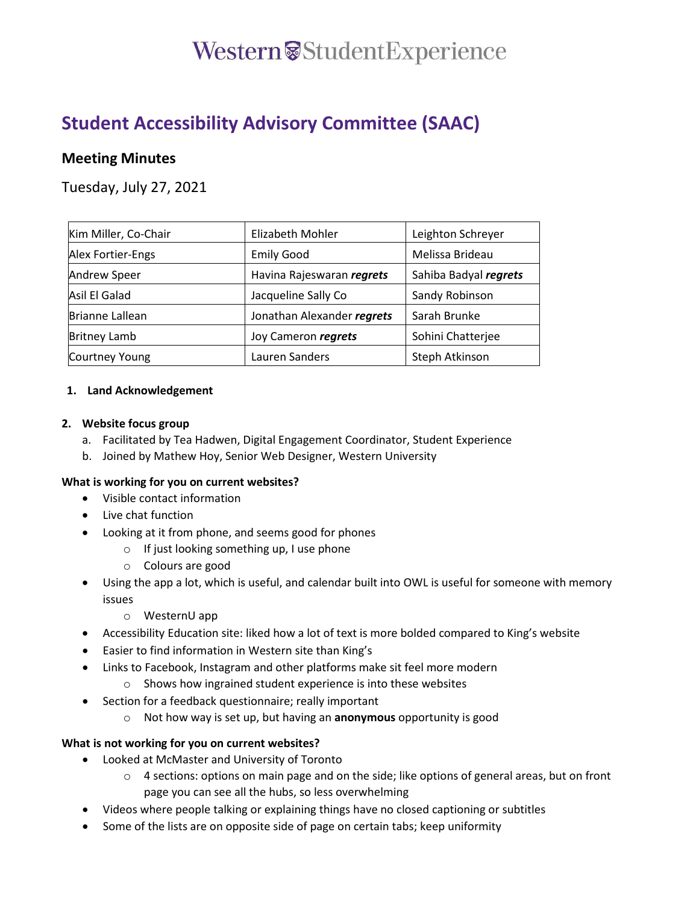### Western<sup>&</sup>StudentExperience

### **Student Accessibility Advisory Committee (SAAC)**

### **Meeting Minutes**

Tuesday, July 27, 2021

| Kim Miller, Co-Chair | Elizabeth Mohler           | Leighton Schreyer     |
|----------------------|----------------------------|-----------------------|
| Alex Fortier-Engs    | <b>Emily Good</b>          | Melissa Brideau       |
| Andrew Speer         | Havina Rajeswaran regrets  | Sahiba Badyal regrets |
| Asil El Galad        | Jacqueline Sally Co        | Sandy Robinson        |
| Brianne Lallean      | Jonathan Alexander regrets | Sarah Brunke          |
| <b>Britney Lamb</b>  | Joy Cameron regrets        | Sohini Chatterjee     |
| Courtney Young       | Lauren Sanders             | Steph Atkinson        |

### **1. Land Acknowledgement**

### **2. Website focus group**

- a. Facilitated by Tea Hadwen, Digital Engagement Coordinator, Student Experience
- b. Joined by Mathew Hoy, Senior Web Designer, Western University

### **What is working for you on current websites?**

- Visible contact information
- Live chat function
- Looking at it from phone, and seems good for phones
	- o If just looking something up, I use phone
	- o Colours are good
- Using the app a lot, which is useful, and calendar built into OWL is useful for someone with memory issues
	- o WesternU app
- Accessibility Education site: liked how a lot of text is more bolded compared to King's website
- Easier to find information in Western site than King's
- Links to Facebook, Instagram and other platforms make sit feel more modern
	- o Shows how ingrained student experience is into these websites
- Section for a feedback questionnaire; really important
	- o Not how way is set up, but having an **anonymous** opportunity is good

### **What is not working for you on current websites?**

- Looked at McMaster and University of Toronto
	- $\circ$  4 sections: options on main page and on the side; like options of general areas, but on front page you can see all the hubs, so less overwhelming
- Videos where people talking or explaining things have no closed captioning or subtitles
- Some of the lists are on opposite side of page on certain tabs; keep uniformity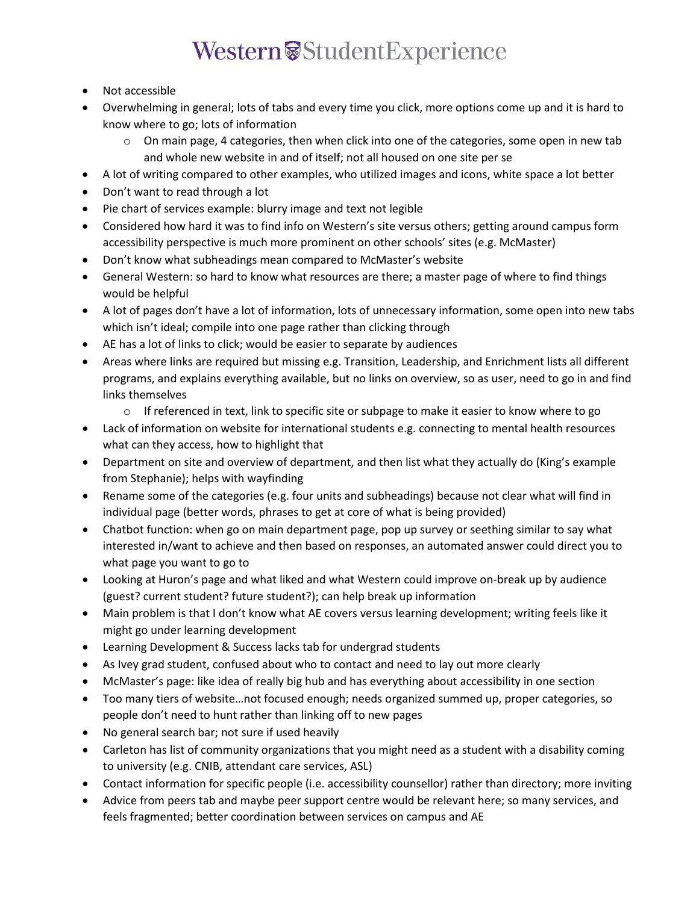# Western<sup>®</sup>StudentExperience

- Not accessible
- Overwhelming in general; lots of tabs and every time you click, more options come up and it is hard to know where to go; lots of information
	- $\circ$  On main page, 4 categories, then when click into one of the categories, some open in new tab and whole new website in and of itself; not all housed on one site per se
- A lot of writing compared to other examples, who utilized images and icons, white space a lot better
- Don't want to read through a lot
- Pie chart of services example: blurry image and text not legible
- Considered how hard it was to find info on Western's site versus others; getting around campus form accessibility perspective is much more prominent on other schools' sites (e.g. McMaster)
- Don't know what subheadings mean compared to McMaster's website
- General Western: so hard to know what resources are there; a master page of where to find things would be helpful
- A lot of pages don't have a lot of information, lots of unnecessary information, some open into new tabs which isn't ideal; compile into one page rather than clicking through
- AE has a lot of links to click; would be easier to separate by audiences
- Areas where links are required but missing e.g. Transition, Leadership, and Enrichment lists all different programs, and explains everything available, but no links on overview, so as user, need to go in and find links themselves
	- $\circ$  If referenced in text, link to specific site or subpage to make it easier to know where to go
- Lack of information on website for international students e.g. connecting to mental health resources what can they access, how to highlight that
- Department on site and overview of department, and then list what they actually do (King's example from Stephanie); helps with wayfinding
- Rename some of the categories (e.g. four units and subheadings) because not clear what will find in individual page (better words, phrases to get at core of what is being provided)
- Chatbot function: when go on main department page, pop up survey or seething similar to say what interested in/want to achieve and then based on responses, an automated answer could direct you to what page you want to go to
- Looking at Huron's page and what liked and what Western could improve on-break up by audience (guest? current student? future student?); can help break up information
- Main problem is that I don't know what AE covers versus learning development; writing feels like it might go under learning development
- Learning Development & Success lacks tab for undergrad students
- As Ivey grad student, confused about who to contact and need to lay out more clearly
- McMaster's page: like idea of really big hub and has everything about accessibility in one section
- Too many tiers of website…not focused enough; needs organized summed up, proper categories, so people don't need to hunt rather than linking off to new pages
- No general search bar; not sure if used heavily
- Carleton has list of community organizations that you might need as a student with a disability coming to university (e.g. CNIB, attendant care services, ASL)
- Contact information for specific people (i.e. accessibility counsellor) rather than directory; more inviting
- Advice from peers tab and maybe peer support centre would be relevant here; so many services, and feels fragmented; better coordination between services on campus and AE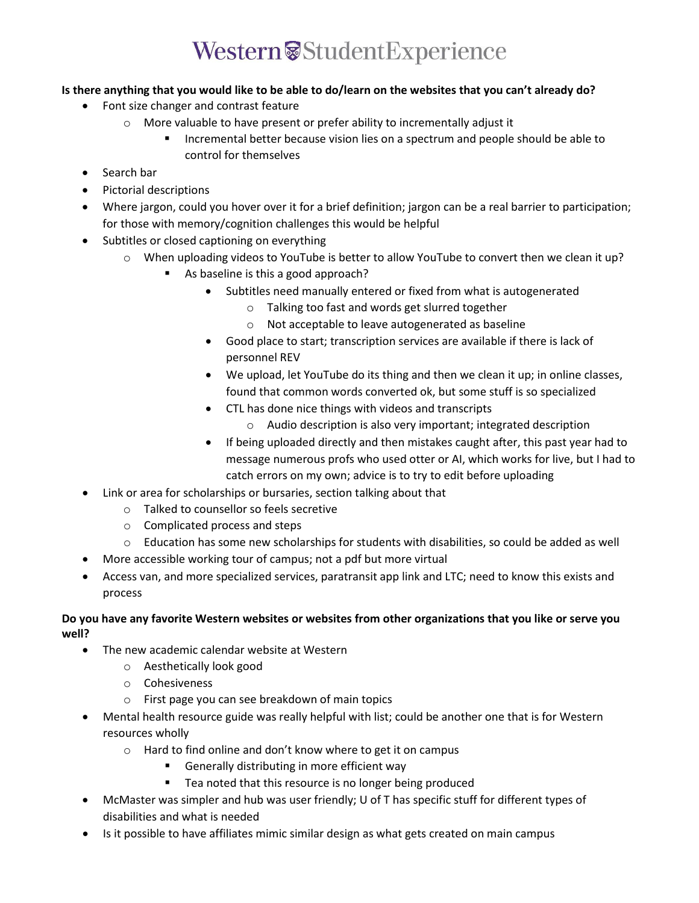## Western<sup>®</sup>StudentExperience

### **Is there anything that you would like to be able to do/learn on the websites that you can't already do?**

- Font size changer and contrast feature
	- o More valuable to have present or prefer ability to incrementally adjust it
		- Incremental better because vision lies on a spectrum and people should be able to control for themselves
- Search bar
- Pictorial descriptions
- Where jargon, could you hover over it for a brief definition; jargon can be a real barrier to participation; for those with memory/cognition challenges this would be helpful
- Subtitles or closed captioning on everything
	- o When uploading videos to YouTube is better to allow YouTube to convert then we clean it up?
		- As baseline is this a good approach?
			- Subtitles need manually entered or fixed from what is autogenerated
				- o Talking too fast and words get slurred together
				- o Not acceptable to leave autogenerated as baseline
			- Good place to start; transcription services are available if there is lack of personnel REV
			- We upload, let YouTube do its thing and then we clean it up; in online classes, found that common words converted ok, but some stuff is so specialized
			- CTL has done nice things with videos and transcripts
				- o Audio description is also very important; integrated description
			- If being uploaded directly and then mistakes caught after, this past year had to message numerous profs who used otter or AI, which works for live, but I had to catch errors on my own; advice is to try to edit before uploading
- Link or area for scholarships or bursaries, section talking about that
	- o Talked to counsellor so feels secretive
	- o Complicated process and steps
	- $\circ$  Education has some new scholarships for students with disabilities, so could be added as well
- More accessible working tour of campus; not a pdf but more virtual
- Access van, and more specialized services, paratransit app link and LTC; need to know this exists and process

### **Do you have any favorite Western websites or websites from other organizations that you like or serve you well?**

- The new academic calendar website at Western
	- o Aesthetically look good
	- o Cohesiveness
	- o First page you can see breakdown of main topics
- Mental health resource guide was really helpful with list; could be another one that is for Western resources wholly
	- o Hard to find online and don't know where to get it on campus
		- Generally distributing in more efficient way
		- **Tea noted that this resource is no longer being produced**
- McMaster was simpler and hub was user friendly; U of T has specific stuff for different types of disabilities and what is needed
- Is it possible to have affiliates mimic similar design as what gets created on main campus